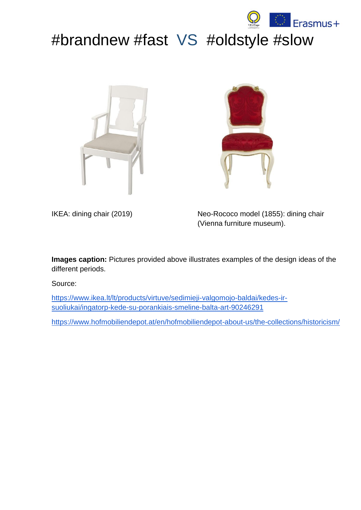

# #brandnew #fast VS #oldstyle #slow





IKEA: dining chair (2019) Neo-Rococo model (1855): dining chair (Vienna furniture museum).

**Images caption:** Pictures provided above illustrates examples of the design ideas of the different periods.

Source:

[https://www.ikea.lt/lt/products/virtuve/sedimieji-valgomojo-baldai/kedes-ir](https://www.ikea.lt/lt/products/virtuve/sedimieji-valgomojo-baldai/kedes-ir-suoliukai/ingatorp-kede-su-porankiais-smeline-balta-art-90246291)[suoliukai/ingatorp-kede-su-porankiais-smeline-balta-art-90246291](https://www.ikea.lt/lt/products/virtuve/sedimieji-valgomojo-baldai/kedes-ir-suoliukai/ingatorp-kede-su-porankiais-smeline-balta-art-90246291)

<https://www.hofmobiliendepot.at/en/hofmobiliendepot-about-us/the-collections/historicism/>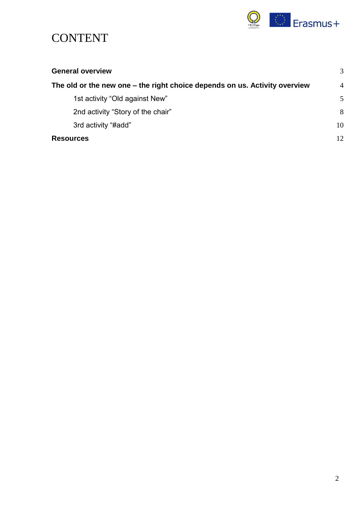

## **CONTENT**

| <b>General overview</b>                                                    | 3              |
|----------------------------------------------------------------------------|----------------|
| The old or the new one – the right choice depends on us. Activity overview | $\overline{4}$ |
| 1st activity "Old against New"                                             | .5             |
| 2nd activity "Story of the chair"                                          | 8              |
| 3rd activity "#add"                                                        | 10             |
| <b>Resources</b>                                                           | 12             |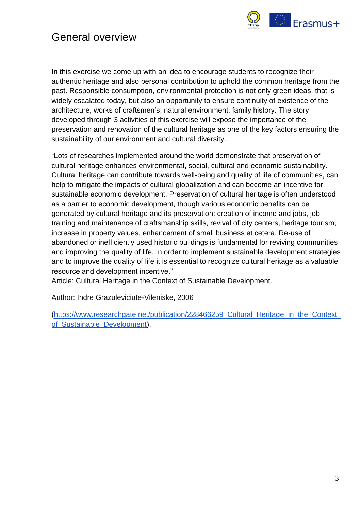

### <span id="page-2-0"></span>General overview

In this exercise we come up with an idea to encourage students to recognize their authentic heritage and also personal contribution to uphold the common heritage from the past. Responsible consumption, environmental protection is not only green ideas, that is widely escalated today, but also an opportunity to ensure continuity of existence of the architecture, works of craftsmen's, natural environment, family history. The story developed through 3 activities of this exercise will expose the importance of the preservation and renovation of the cultural heritage as one of the key factors ensuring the sustainability of our environment and cultural diversity.

"Lots of researches implemented around the world demonstrate that preservation of cultural heritage enhances environmental, social, cultural and economic sustainability. Cultural heritage can contribute towards well-being and quality of life of communities, can help to mitigate the impacts of cultural globalization and can become an incentive for sustainable economic development. Preservation of cultural heritage is often understood as a barrier to economic development, though various economic benefits can be generated by cultural heritage and its preservation: creation of income and jobs, job training and maintenance of craftsmanship skills, revival of city centers, heritage tourism, increase in property values, enhancement of small business et cetera. Re-use of abandoned or inefficiently used historic buildings is fundamental for reviving communities and improving the quality of life. In order to implement sustainable development strategies and to improve the quality of life it is essential to recognize cultural heritage as a valuable resource and development incentive."

Article: Cultural Heritage in the Context of Sustainable Development.

Author: [Indre Grazuleviciute-Vileniske,](https://www.researchgate.net/profile/Indre_Grazuleviciute-Vileniske) 2006

[\(https://www.researchgate.net/publication/228466259\\_Cultural\\_Heritage\\_in\\_the\\_Context\\_](https://www.researchgate.net/publication/228466259_Cultural_Heritage_in_the_Context_of_Sustainable_Development) [of\\_Sustainable\\_Development\)](https://www.researchgate.net/publication/228466259_Cultural_Heritage_in_the_Context_of_Sustainable_Development).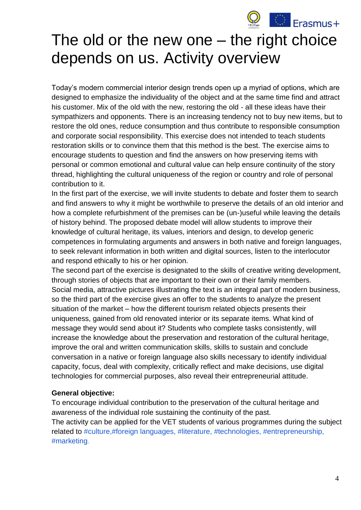

# <span id="page-3-0"></span>The old or the new one – the right choice depends on us. Activity overview

Today's modern commercial interior design trends open up a myriad of options, which are designed to emphasize the individuality of the object and at the same time find and attract his customer. Mix of the old with the new, restoring the old - all these ideas have their sympathizers and opponents. There is an increasing tendency not to buy new items, but to restore the old ones, reduce consumption and thus contribute to responsible consumption and corporate social responsibility. This exercise does not intended to teach students restoration skills or to convince them that this method is the best. The exercise aims to encourage students to question and find the answers on how preserving items with personal or common emotional and cultural value can help ensure continuity of the story thread, highlighting the cultural uniqueness of the region or country and role of personal contribution to it.

In the first part of the exercise, we will invite students to debate and foster them to search and find answers to why it might be worthwhile to preserve the details of an old interior and how a complete refurbishment of the premises can be (un-)useful while leaving the details of history behind. The proposed debate model will allow students to improve their knowledge of cultural heritage, its values, interiors and design, to develop generic competences in formulating arguments and answers in both native and foreign languages, to seek relevant information in both written and digital sources, listen to the interlocutor and respond ethically to his or her opinion.

The second part of the exercise is designated to the skills of creative writing development, through stories of objects that are important to their own or their family members. Social media, attractive pictures illustrating the text is an integral part of modern business, so the third part of the exercise gives an offer to the students to analyze the present situation of the market – how the different tourism related objects presents their uniqueness, gained from old renovated interior or its separate items. What kind of message they would send about it? Students who complete tasks consistently, will increase the knowledge about the preservation and restoration of the cultural heritage, improve the oral and written communication skills, skills to sustain and conclude conversation in a native or foreign language also skills necessary to identify individual capacity, focus, deal with complexity, critically reflect and make decisions, use digital technologies for commercial purposes, also reveal their entrepreneurial attitude.

### **General objective:**

To encourage individual contribution to the preservation of the cultural heritage and awareness of the individual role sustaining the continuity of the past. The activity can be applied for the VET students of various programmes during the subject related to #culture,#foreign languages, #literature, #technologies, #entrepreneurship, #marketing.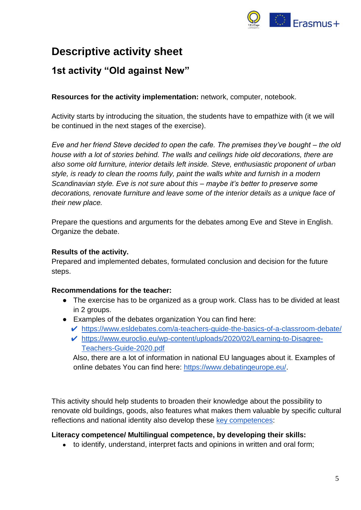

## **Descriptive activity sheet**

### <span id="page-4-0"></span>**1st activity "Old against New"**

**Resources for the activity implementation:** network, computer, notebook.

Activity starts by introducing the situation, the students have to empathize with (it we will be continued in the next stages of the exercise).

*Eve and her friend Steve decided to open the cafe. The premises they've bought – the old house with a lot of stories behind. The walls and ceilings hide old decorations, there are also some old furniture, interior details left inside. Steve, enthusiastic proponent of urban style, is ready to clean the rooms fully, paint the walls white and furnish in a modern Scandinavian style. Eve is not sure about this – maybe it's better to preserve some decorations, renovate furniture and leave some of the interior details as a unique face of their new place.* 

Prepare the questions and arguments for the debates among Eve and Steve in English. Organize the debate.

### **Results of the activity.**

Prepared and implemented debates, formulated conclusion and decision for the future steps.

### **Recommendations for the teacher:**

- The exercise has to be organized as a group work. Class has to be divided at least in 2 groups.
- Examples of the debates organization You can find here:
	- ✔ <https://www.esldebates.com/a-teachers-guide-the-basics-of-a-classroom-debate/>
	- ✔ [https://www.euroclio.eu/wp-content/uploads/2020/02/Learning-to-Disagree-](https://www.euroclio.eu/wp-content/uploads/2020/02/Learning-to-Disagree-Teachers-Guide-2020.pdf)[Teachers-Guide-2020.pdf](https://www.euroclio.eu/wp-content/uploads/2020/02/Learning-to-Disagree-Teachers-Guide-2020.pdf)

Also, there are a lot of information in national EU languages about it. Examples of online debates You can find here: [https://www.debatingeurope.eu/.](https://www.debatingeurope.eu/)

This activity should help students to broaden their knowledge about the possibility to renovate old buildings, goods, also features what makes them valuable by specific cultural reflections and national identity also develop these [key competences:](https://eur-lex.europa.eu/legal-content/EN/TXT/?uri=uriserv:OJ.C_.2018.189.01.0001.01.ENG)

### **Literacy competence/ Multilingual competence, by developing their skills:**

• to identify, understand, interpret facts and opinions in written and oral form;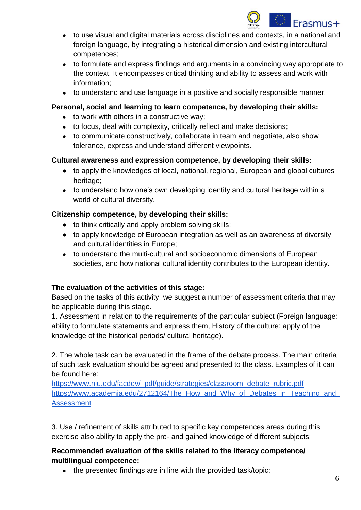

- to use visual and digital materials across disciplines and contexts, in a national and foreign language, by integrating a historical dimension and existing intercultural competences;
- to formulate and express findings and arguments in a convincing way appropriate to the context. It encompasses critical thinking and ability to assess and work with information;
- to understand and use language in a positive and socially responsible manner.

### **Personal, social and learning to learn competence, by developing their skills:**

- to work with others in a constructive way;
- to focus, deal with complexity, critically reflect and make decisions;
- to communicate constructively, collaborate in team and negotiate, also show tolerance, express and understand different viewpoints.

### **Cultural awareness and expression competence, by developing their skills:**

- to apply the knowledges of local, national, regional, European and global cultures heritage;
- to understand how one's own developing identity and cultural heritage within a world of cultural diversity.

### **Citizenship competence, by developing their skills:**

- to think critically and apply problem solving skills;
- to apply knowledge of European integration as well as an awareness of diversity and cultural identities in Europe;
- to understand the multi-cultural and socioeconomic dimensions of European societies, and how national cultural identity contributes to the European identity.

### **The evaluation of the activities of this stage:**

Based on the tasks of this activity, we suggest a number of assessment criteria that may be applicable during this stage.

1. Assessment in relation to the requirements of the particular subject (Foreign language: ability to formulate statements and express them, History of the culture: apply of the knowledge of the historical periods/ cultural heritage).

2. The whole task can be evaluated in the frame of the debate process. The main criteria of such task evaluation should be agreed and presented to the class. Examples of it can be found here:

[https://www.niu.edu/facdev/\\_pdf/guide/strategies/classroom\\_debate\\_rubric.pdf](https://www.niu.edu/facdev/_pdf/guide/strategies/classroom_debate_rubric.pdf) [https://www.academia.edu/2712164/The\\_How\\_and\\_Why\\_of\\_Debates\\_in\\_Teaching\\_and\\_](https://www.academia.edu/2712164/The_How_and_Why_of_Debates_in_Teaching_and_Assessment) [Assessment](https://www.academia.edu/2712164/The_How_and_Why_of_Debates_in_Teaching_and_Assessment)

3. Use / refinement of skills attributed to specific key competences areas during this exercise also ability to apply the pre- and gained knowledge of different subjects:

### **Recommended evaluation of the skills related to the literacy competence/ multilingual competence:**

• the presented findings are in line with the provided task/topic;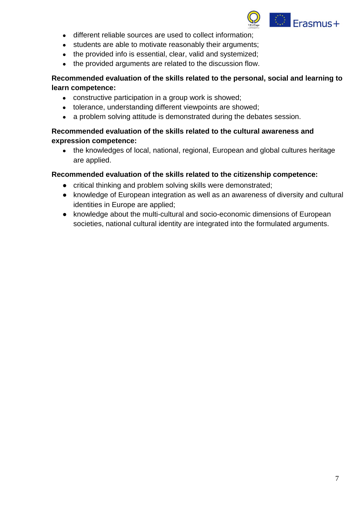

- different reliable sources are used to collect information;
- students are able to motivate reasonably their arguments;
- the provided info is essential, clear, valid and systemized;
- the provided arguments are related to the discussion flow.

### **Recommended evaluation of the skills related to the personal, social and learning to learn competence:**

- constructive participation in a group work is showed;
- tolerance, understanding different viewpoints are showed;
- a problem solving attitude is demonstrated during the debates session.

### **Recommended evaluation of the skills related to the cultural awareness and expression competence:**

• the knowledges of local, national, regional, European and global cultures heritage are applied.

### **Recommended evaluation of the skills related to the citizenship competence:**

- critical thinking and problem solving skills were demonstrated;
- knowledge of European integration as well as an awareness of diversity and cultural identities in Europe are applied;
- knowledge about the multi-cultural and socio-economic dimensions of European societies, national cultural identity are integrated into the formulated arguments.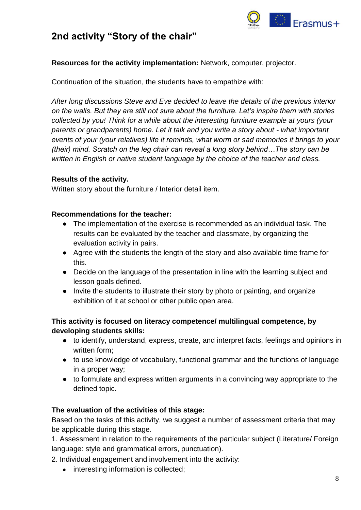

### <span id="page-7-0"></span>**2nd activity "Story of the chair"**

### **Resources for the activity implementation:** Network, computer, projector.

Continuation of the situation, the students have to empathize with:

*After long discussions Steve and Eve decided to leave the details of the previous interior on the walls. But they are still not sure about the furniture. Let's inspire them with stories collected by you! Think for a while about the interesting furniture example at yours (your parents or grandparents) home. Let it talk and you write a story about - what important events of your (your relatives) life it reminds, what worm or sad memories it brings to your (their) mind. Scratch on the leg chair can reveal a long story behind…The story can be written in English or native student language by the choice of the teacher and class.*

### **Results of the activity.**

Written story about the furniture / Interior detail item.

### **Recommendations for the teacher:**

- The implementation of the exercise is recommended as an individual task. The results can be evaluated by the teacher and classmate, by organizing the evaluation activity in pairs.
- Agree with the students the length of the story and also available time frame for this.
- Decide on the language of the presentation in line with the learning subject and lesson goals defined.
- Invite the students to illustrate their story by photo or painting, and organize exhibition of it at school or other public open area.

### **This activity is focused on literacy competence/ multilingual competence, by developing students skills:**

- to identify, understand, express, create, and interpret facts, feelings and opinions in written form;
- to use knowledge of vocabulary, functional grammar and the functions of language in a proper way;
- to formulate and express written arguments in a convincing way appropriate to the defined topic.

### **The evaluation of the activities of this stage:**

Based on the tasks of this activity, we suggest a number of assessment criteria that may be applicable during this stage.

1. Assessment in relation to the requirements of the particular subject (Literature/ Foreign language: style and grammatical errors, punctuation).

2. Individual engagement and involvement into the activity:

• interesting information is collected;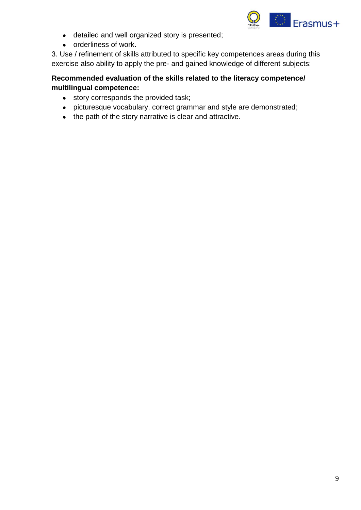

- detailed and well organized story is presented;
- orderliness of work.

3. Use / refinement of skills attributed to specific key competences areas during this exercise also ability to apply the pre- and gained knowledge of different subjects:

### **Recommended evaluation of the skills related to the literacy competence/ multilingual competence:**

- story corresponds the provided task;
- picturesque vocabulary, correct grammar and style are demonstrated;
- the path of the story narrative is clear and attractive.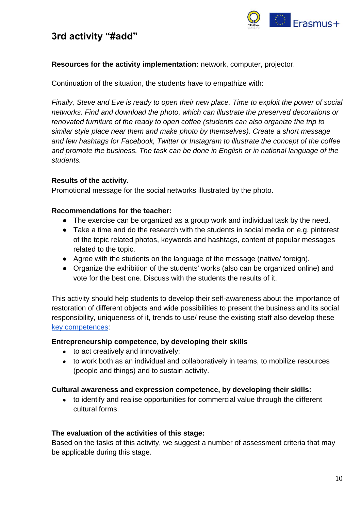

### <span id="page-9-0"></span>**3rd activity "#add"**

### **Resources for the activity implementation:** network, computer, projector.

Continuation of the situation, the students have to empathize with:

*Finally, Steve and Eve is ready to open their new place. Time to exploit the power of social networks. Find and download the photo, which can illustrate the preserved decorations or renovated furniture of the ready to open coffee (students can also organize the trip to similar style place near them and make photo by themselves). Create a short message and few hashtags for Facebook, Twitter or Instagram to illustrate the concept of the coffee and promote the business. The task can be done in English or in national language of the students.*

### **Results of the activity.**

Promotional message for the social networks illustrated by the photo.

#### **Recommendations for the teacher:**

- The exercise can be organized as a group work and individual task by the need.
- Take a time and do the research with the students in social media on e.g. pinterest of the topic related photos, keywords and hashtags, content of popular messages related to the topic.
- Agree with the students on the language of the message (native/ foreign).
- Organize the exhibition of the students' works (also can be organized online) and vote for the best one. Discuss with the students the results of it.

This activity should help students to develop their self-awareness about the importance of restoration of different objects and wide possibilities to present the business and its social responsibility, uniqueness of it, trends to use/ reuse the existing staff also develop these [key competences:](https://eur-lex.europa.eu/legal-content/EN/TXT/?uri=uriserv:OJ.C_.2018.189.01.0001.01.ENG)

#### **Entrepreneurship competence, by developing their skills**

- to act creatively and innovatively;
- to work both as an individual and collaboratively in teams, to mobilize resources (people and things) and to sustain activity.

#### **Cultural awareness and expression competence, by developing their skills:**

• to identify and realise opportunities for commercial value through the different cultural forms.

#### **The evaluation of the activities of this stage:**

Based on the tasks of this activity, we suggest a number of assessment criteria that may be applicable during this stage.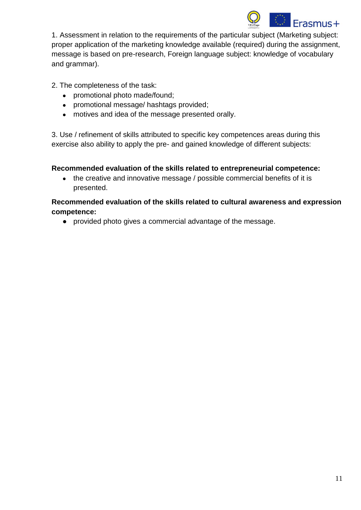

1. Assessment in relation to the requirements of the particular subject (Marketing subject: proper application of the marketing knowledge available (required) during the assignment, message is based on pre-research, Foreign language subject: knowledge of vocabulary and grammar).

2. The completeness of the task:

- promotional photo made/found;
- promotional message/ hashtags provided;
- motives and idea of the message presented orally.

3. Use / refinement of skills attributed to specific key competences areas during this exercise also ability to apply the pre- and gained knowledge of different subjects:

### **Recommended evaluation of the skills related to entrepreneurial competence:**

• the creative and innovative message / possible commercial benefits of it is presented.

**Recommended evaluation of the skills related to cultural awareness and expression competence:**

● provided photo gives a commercial advantage of the message.